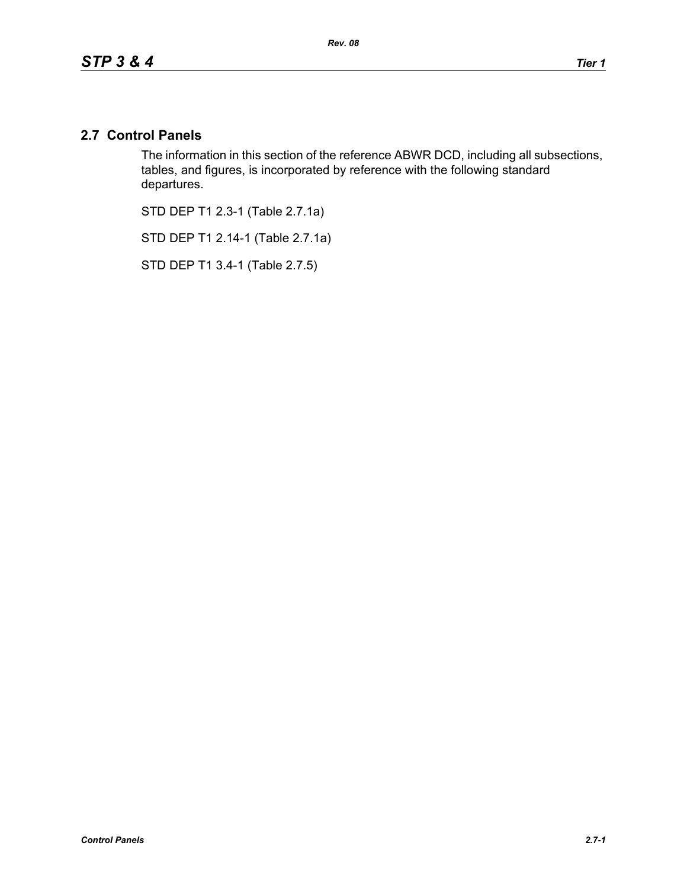## **2.7 Control Panels**

The information in this section of the reference ABWR DCD, including all subsections, tables, and figures, is incorporated by reference with the following standard departures.

STD DEP T1 2.3-1 (Table 2.7.1a)

STD DEP T1 2.14-1 (Table 2.7.1a)

STD DEP T1 3.4-1 (Table 2.7.5)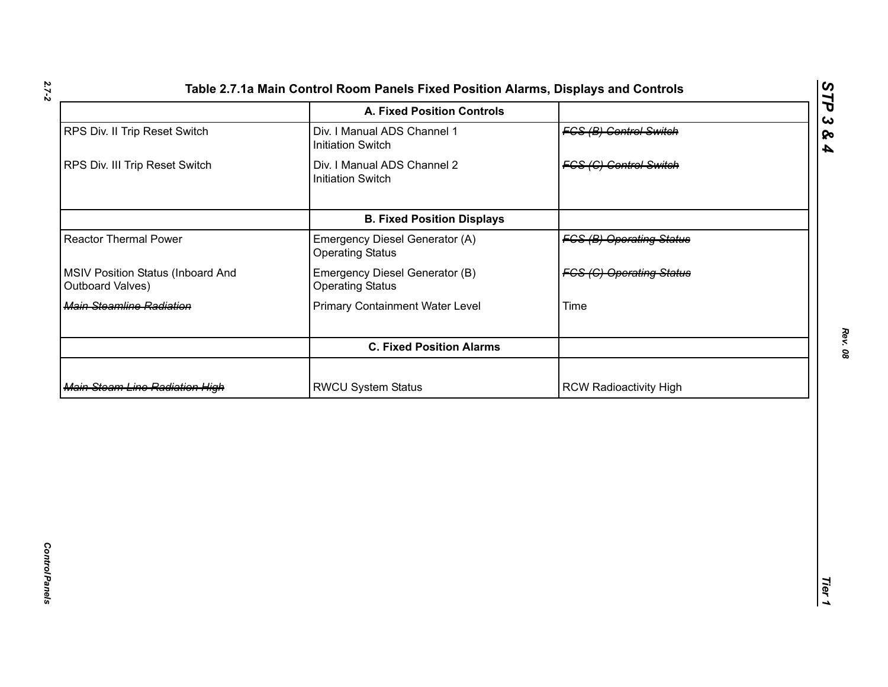| <b>FCS (B) Operating Status</b> |
|---------------------------------|
| <b>FCS (C) Operating Status</b> |
|                                 |
|                                 |
|                                 |
|                                 |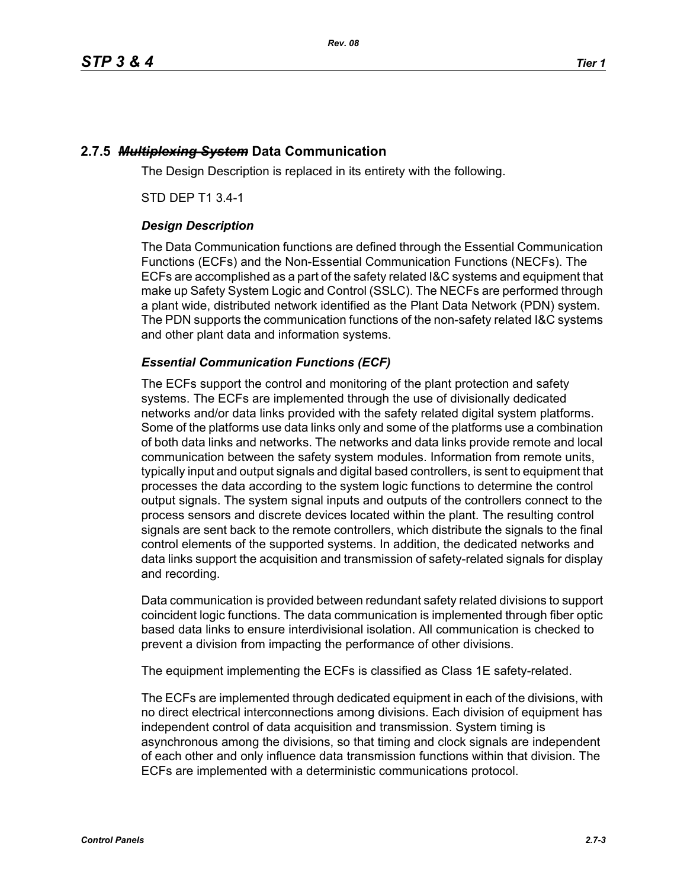# **2.7.5** *Multiplexing System* **Data Communication**

The Design Description is replaced in its entirety with the following.

STD DEP T1 3.4-1

## *Design Description*

The Data Communication functions are defined through the Essential Communication Functions (ECFs) and the Non-Essential Communication Functions (NECFs). The ECFs are accomplished as a part of the safety related I&C systems and equipment that make up Safety System Logic and Control (SSLC). The NECFs are performed through a plant wide, distributed network identified as the Plant Data Network (PDN) system. The PDN supports the communication functions of the non-safety related I&C systems and other plant data and information systems.

## *Essential Communication Functions (ECF)*

The ECFs support the control and monitoring of the plant protection and safety systems. The ECFs are implemented through the use of divisionally dedicated networks and/or data links provided with the safety related digital system platforms. Some of the platforms use data links only and some of the platforms use a combination of both data links and networks. The networks and data links provide remote and local communication between the safety system modules. Information from remote units, typically input and output signals and digital based controllers, is sent to equipment that processes the data according to the system logic functions to determine the control output signals. The system signal inputs and outputs of the controllers connect to the process sensors and discrete devices located within the plant. The resulting control signals are sent back to the remote controllers, which distribute the signals to the final control elements of the supported systems. In addition, the dedicated networks and data links support the acquisition and transmission of safety-related signals for display and recording.

Data communication is provided between redundant safety related divisions to support coincident logic functions. The data communication is implemented through fiber optic based data links to ensure interdivisional isolation. All communication is checked to prevent a division from impacting the performance of other divisions.

The equipment implementing the ECFs is classified as Class 1E safety-related.

The ECFs are implemented through dedicated equipment in each of the divisions, with no direct electrical interconnections among divisions. Each division of equipment has independent control of data acquisition and transmission. System timing is asynchronous among the divisions, so that timing and clock signals are independent of each other and only influence data transmission functions within that division. The ECFs are implemented with a deterministic communications protocol.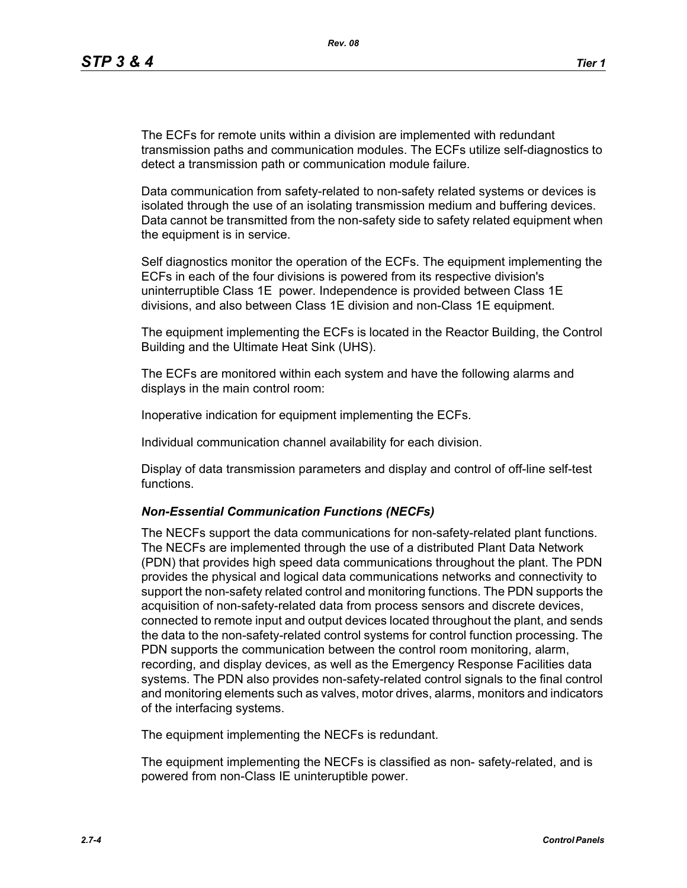The ECFs for remote units within a division are implemented with redundant transmission paths and communication modules. The ECFs utilize self-diagnostics to detect a transmission path or communication module failure.

Data communication from safety-related to non-safety related systems or devices is isolated through the use of an isolating transmission medium and buffering devices. Data cannot be transmitted from the non-safety side to safety related equipment when the equipment is in service.

Self diagnostics monitor the operation of the ECFs. The equipment implementing the ECFs in each of the four divisions is powered from its respective division's uninterruptible Class 1E power. Independence is provided between Class 1E divisions, and also between Class 1E division and non-Class 1E equipment.

The equipment implementing the ECFs is located in the Reactor Building, the Control Building and the Ultimate Heat Sink (UHS).

The ECFs are monitored within each system and have the following alarms and displays in the main control room:

Inoperative indication for equipment implementing the ECFs.

Individual communication channel availability for each division.

Display of data transmission parameters and display and control of off-line self-test functions.

### *Non-Essential Communication Functions (NECFs)*

The NECFs support the data communications for non-safety-related plant functions. The NECFs are implemented through the use of a distributed Plant Data Network (PDN) that provides high speed data communications throughout the plant. The PDN provides the physical and logical data communications networks and connectivity to support the non-safety related control and monitoring functions. The PDN supports the acquisition of non-safety-related data from process sensors and discrete devices, connected to remote input and output devices located throughout the plant, and sends the data to the non-safety-related control systems for control function processing. The PDN supports the communication between the control room monitoring, alarm, recording, and display devices, as well as the Emergency Response Facilities data systems. The PDN also provides non-safety-related control signals to the final control and monitoring elements such as valves, motor drives, alarms, monitors and indicators of the interfacing systems.

The equipment implementing the NECFs is redundant.

The equipment implementing the NECFs is classified as non- safety-related, and is powered from non-Class IE uninteruptible power.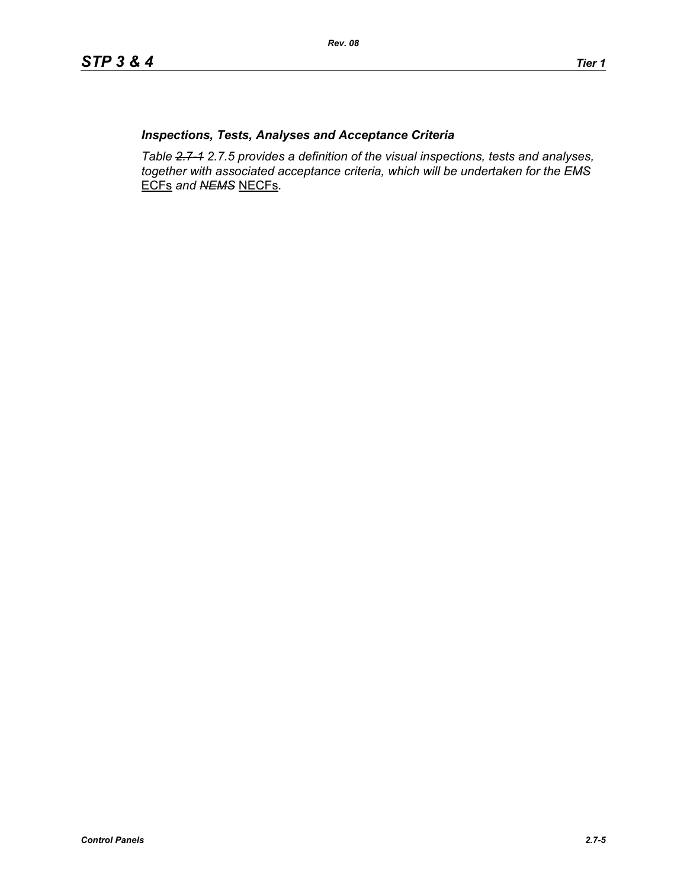## *Inspections, Tests, Analyses and Acceptance Criteria*

*Table 2.7-1 2.7.5 provides a definition of the visual inspections, tests and analyses, together with associated acceptance criteria, which will be undertaken for the EMS* ECFs *and NEMS* NECFs*.*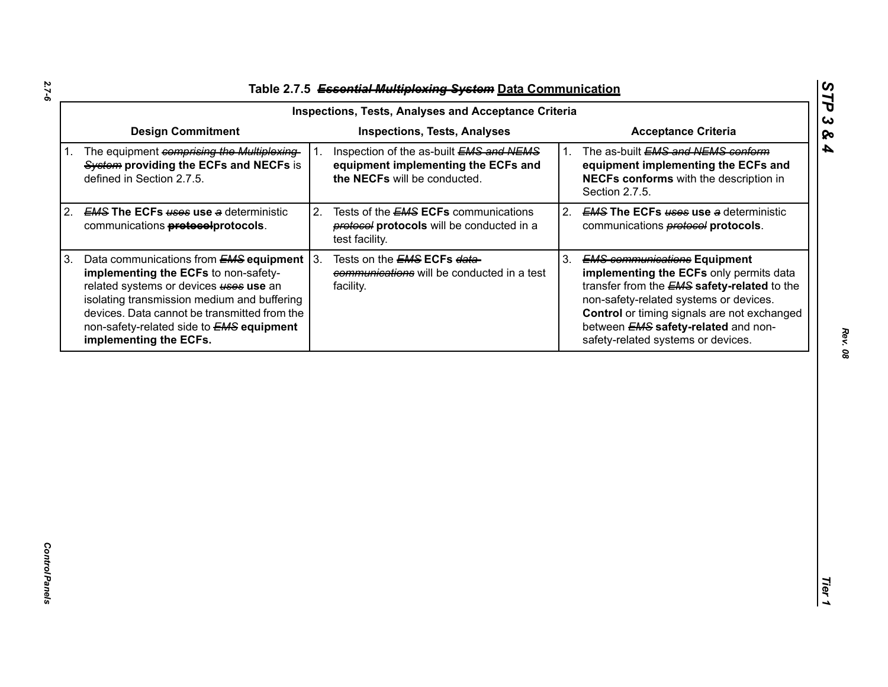| Table 2.7.5 Essential Multiplexing System Data Communication |
|--------------------------------------------------------------|

| <b>Inspections, Tests, Analyses</b>                                                                            | <b>Acceptance Criteria</b>                                                                                                                                                                                                                                                                                              |  |  |  |  |
|----------------------------------------------------------------------------------------------------------------|-------------------------------------------------------------------------------------------------------------------------------------------------------------------------------------------------------------------------------------------------------------------------------------------------------------------------|--|--|--|--|
| Inspection of the as-built EMS and NEMS<br>equipment implementing the ECFs and<br>the NECFs will be conducted. | The as-built EMS and NEMS conform<br>1.<br>equipment implementing the ECFs and<br>NECFs conforms with the description in<br>Section 2.7.5.                                                                                                                                                                              |  |  |  |  |
| 2.<br>Tests of the <b>EMS ECFs</b> communications<br>protocols will be conducted in a<br>test facility.        | <b>EMS The ECFs uses use a deterministic</b><br>2.<br>communications <b>protocol</b> protocols.                                                                                                                                                                                                                         |  |  |  |  |
| Tests on the <b>EMS ECFs data-</b><br>communications will be conducted in a test<br>facility.                  | 3.<br><b>EMS communications Equipment</b><br>implementing the ECFs only permits data<br>transfer from the <b>EMS</b> safety-related to the<br>non-safety-related systems or devices.<br>Control or timing signals are not exchanged<br>between <b>EMS</b> safety-related and non-<br>safety-related systems or devices. |  |  |  |  |
|                                                                                                                |                                                                                                                                                                                                                                                                                                                         |  |  |  |  |
|                                                                                                                | <b>Inspections, Tests, Analyses and Acceptance Criteria</b><br>Data communications from $EMS$ equipment $ 3$ .                                                                                                                                                                                                          |  |  |  |  |

*STP 3 & 4*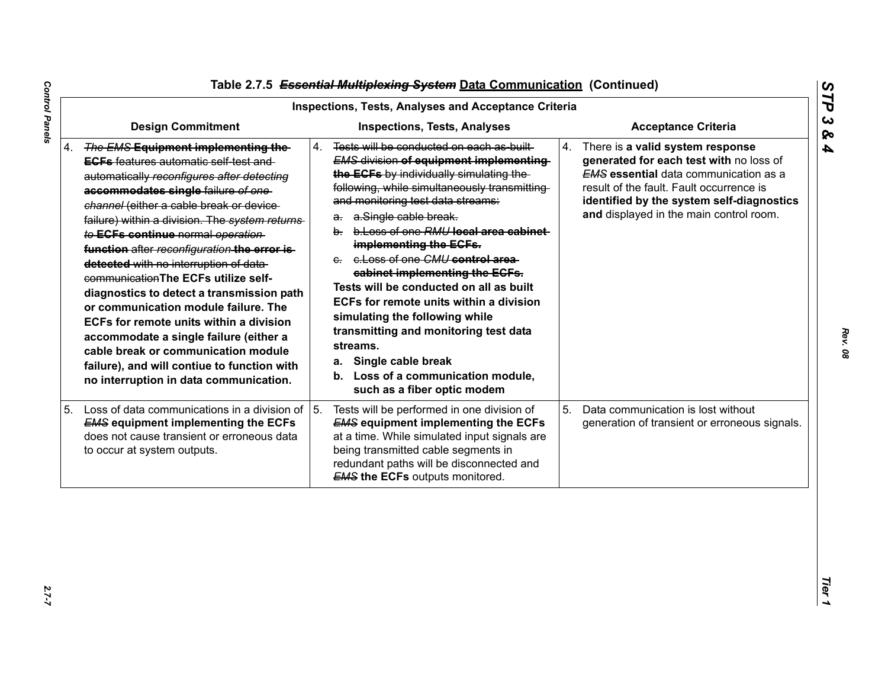| <b>Inspections, Tests, Analyses and Acceptance Criteria</b>                                                                                                                                                                                                                                                                                                                                                                                                                                                                                                                                                                                                                                                                                                |                                                                                                                                                                                                                                                                                                                                                                                                                                                                                                                                                                                                                                                                                         |                                                                                                                                                                                                                                                                       |  |  |  |
|------------------------------------------------------------------------------------------------------------------------------------------------------------------------------------------------------------------------------------------------------------------------------------------------------------------------------------------------------------------------------------------------------------------------------------------------------------------------------------------------------------------------------------------------------------------------------------------------------------------------------------------------------------------------------------------------------------------------------------------------------------|-----------------------------------------------------------------------------------------------------------------------------------------------------------------------------------------------------------------------------------------------------------------------------------------------------------------------------------------------------------------------------------------------------------------------------------------------------------------------------------------------------------------------------------------------------------------------------------------------------------------------------------------------------------------------------------------|-----------------------------------------------------------------------------------------------------------------------------------------------------------------------------------------------------------------------------------------------------------------------|--|--|--|
| <b>Design Commitment</b>                                                                                                                                                                                                                                                                                                                                                                                                                                                                                                                                                                                                                                                                                                                                   | <b>Inspections, Tests, Analyses</b>                                                                                                                                                                                                                                                                                                                                                                                                                                                                                                                                                                                                                                                     | <b>Acceptance Criteria</b>                                                                                                                                                                                                                                            |  |  |  |
| 4. The EMS Equipment implementing the-<br><b>EGFs</b> features automatic self test and<br>automatically reconfigures after detecting<br>accommodates single failure of one-<br>channel (either a cable break or device-<br>failure) within a division. The system returns<br>to ECFs continue normal operation<br>function after reconfiguration the error is-<br>detected with no interruption of data-<br>communication The ECFs utilize self-<br>diagnostics to detect a transmission path<br>or communication module failure. The<br>ECFs for remote units within a division<br>accommodate a single failure (either a<br>cable break or communication module<br>failure), and will contiue to function with<br>no interruption in data communication. | Tests will be conducted on each as built<br>4.<br><b>EMS division of equipment implementing</b><br>the ECFs by individually simulating the<br>following, while simultaneously transmitting<br>and monitoring test data streams:<br>a. a.Single cable break.<br>b. b. Loss of one RMU local area cabinet<br>implementing the ECFs.<br>e. e. Loss of one CMU control area<br>cabinet implementing the ECFs.<br>Tests will be conducted on all as built<br>ECFs for remote units within a division<br>simulating the following while<br>transmitting and monitoring test data<br>streams.<br>Single cable break<br>а.<br>b. Loss of a communication module,<br>such as a fiber optic modem | 4.<br>There is a valid system response<br>generated for each test with no loss of<br><b>EMS</b> essential data communication as a<br>result of the fault. Fault occurrence is<br>identified by the system self-diagnostics<br>and displayed in the main control room. |  |  |  |
| Loss of data communications in a division of<br>5.<br><b>EMS equipment implementing the ECFs</b><br>does not cause transient or erroneous data<br>to occur at system outputs.                                                                                                                                                                                                                                                                                                                                                                                                                                                                                                                                                                              | 5.<br>Tests will be performed in one division of<br><b>EMS equipment implementing the ECFs</b><br>at a time. While simulated input signals are<br>being transmitted cable segments in<br>redundant paths will be disconnected and<br><b>EMS the ECFs outputs monitored.</b>                                                                                                                                                                                                                                                                                                                                                                                                             | 5.<br>Data communication is lost without<br>generation of transient or erroneous signals.                                                                                                                                                                             |  |  |  |